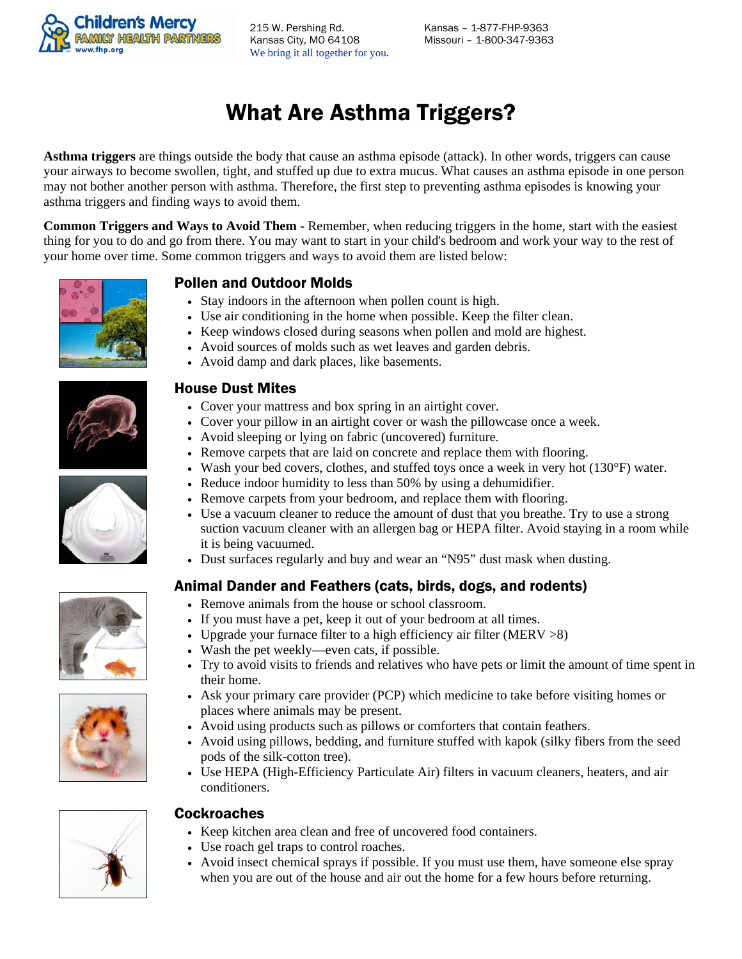

215 W. Pershing Rd. Kansas – 1-877-FHP-9363 Kansas City, MO 64108 Missouri – 1-800-347-9363 We bring it all together for you.

# What Are Asthma Triggers?

**Asthma triggers** are things outside the body that cause an asthma episode (attack). In other words, triggers can cause your airways to become swollen, tight, and stuffed up due to extra mucus. What causes an asthma episode in one person may not bother another person with asthma. Therefore, the first step to preventing asthma episodes is knowing your asthma triggers and finding ways to avoid them.

**Common Triggers and Ways to Avoid Them** - Remember, when reducing triggers in the home, start with the easiest thing for you to do and go from there. You may want to start in your child's bedroom and work your way to the rest of your home over time. Some common triggers and ways to avoid them are listed below:



## Pollen and Outdoor Molds

- Stay indoors in the afternoon when pollen count is high.
- Use air conditioning in the home when possible. Keep the filter clean.
- Keep windows closed during seasons when pollen and mold are highest.
- Avoid sources of molds such as wet leaves and garden debris.
- Avoid damp and dark places, like basements.



## House Dust Mites

- Cover your mattress and box spring in an airtight cover.
- Cover your pillow in an airtight cover or wash the pillowcase once a week.
- Avoid sleeping or lying on fabric (uncovered) furniture.
- Remove carpets that are laid on concrete and replace them with flooring.
- Wash your bed covers, clothes, and stuffed toys once a week in very hot  $(130^{\circ}F)$  water.
- Reduce indoor humidity to less than 50% by using a dehumidifier.
- Remove carpets from your bedroom, and replace them with flooring.
- Use a vacuum cleaner to reduce the amount of dust that you breathe. Try to use a strong suction vacuum cleaner with an allergen bag or HEPA filter. Avoid staying in a room while it is being vacuumed.
- Dust surfaces regularly and buy and wear an "N95" dust mask when dusting.

## Animal Dander and Feathers (cats, birds, dogs, and rodents)

- Remove animals from the house or school classroom.
- If you must have a pet, keep it out of your bedroom at all times.
- Upgrade your furnace filter to a high efficiency air filter (MERV  $>8$ )
- Wash the pet weekly—even cats, if possible.
- Try to avoid visits to friends and relatives who have pets or limit the amount of time spent in their home.
- Ask your primary care provider (PCP) which medicine to take before visiting homes or places where animals may be present.
- Avoid using products such as pillows or comforters that contain feathers.
- Avoid using pillows, bedding, and furniture stuffed with kapok (silky fibers from the seed pods of the silk-cotton tree).
- Use HEPA (High-Efficiency Particulate Air) filters in vacuum cleaners, heaters, and air conditioners.



#### **Cockroaches**

- Keep kitchen area clean and free of uncovered food containers.
- Use roach gel traps to control roaches.
- Avoid insect chemical sprays if possible. If you must use them, have someone else spray when you are out of the house and air out the home for a few hours before returning.